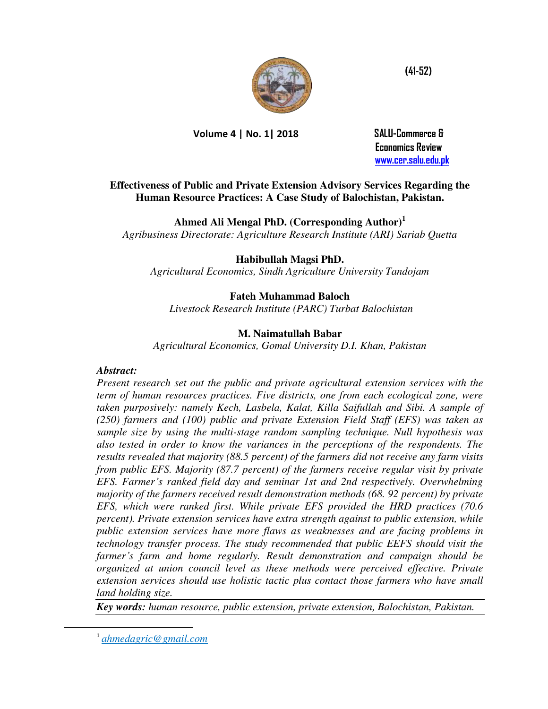

**Volume 4 | No. 1| 2018 SALU-Commerce &** 

 **Economics Review [www.cer.salu.edu.pk](http://www.cer.salu.edu.pk/)** 

## **Effectiveness of Public and Private Extension Advisory Services Regarding the Human Resource Practices: A Case Study of Balochistan, Pakistan.**

**Ahmed Ali Mengal PhD. (Corresponding Author)<sup>1</sup>**

*Agribusiness Directorate: Agriculture Research Institute (ARI) Sariab Quetta* 

**Habibullah Magsi PhD.** 

*Agricultural Economics, Sindh Agriculture University Tandojam* 

**Fateh Muhammad Baloch** 

 *Livestock Research Institute (PARC) Turbat Balochistan* 

# **M. Naimatullah Babar**

*Agricultural Economics, Gomal University D.I. Khan, Pakistan* 

## *Abstract:*

*Present research set out the public and private agricultural extension services with the term of human resources practices. Five districts, one from each ecological zone, were taken purposively: namely Kech, Lasbela, Kalat, Killa Saifullah and Sibi. A sample of (250) farmers and (100) public and private Extension Field Staff (EFS) was taken as sample size by using the multi-stage random sampling technique. Null hypothesis was also tested in order to know the variances in the perceptions of the respondents. The results revealed that majority (88.5 percent) of the farmers did not receive any farm visits from public EFS. Majority (87.7 percent) of the farmers receive regular visit by private EFS. Farmer's ranked field day and seminar 1st and 2nd respectively. Overwhelming majority of the farmers received result demonstration methods (68. 92 percent) by private EFS, which were ranked first. While private EFS provided the HRD practices (70.6 percent). Private extension services have extra strength against to public extension, while public extension services have more flaws as weaknesses and are facing problems in technology transfer process. The study recommended that public EEFS should visit the farmer's farm and home regularly. Result demonstration and campaign should be organized at union council level as these methods were perceived effective. Private extension services should use holistic tactic plus contact those farmers who have small land holding size.* 

*Key words: human resource, public extension, private extension, Balochistan, Pakistan.* 

1 *ahmedagric@gmail.com*

 $\overline{a}$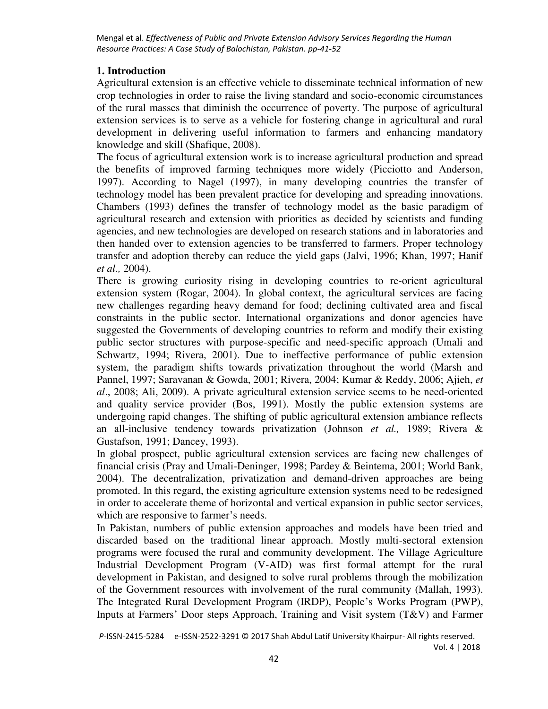## **1. Introduction**

Agricultural extension is an effective vehicle to disseminate technical information of new crop technologies in order to raise the living standard and socio-economic circumstances of the rural masses that diminish the occurrence of poverty. The purpose of agricultural extension services is to serve as a vehicle for fostering change in agricultural and rural development in delivering useful information to farmers and enhancing mandatory knowledge and skill (Shafique, 2008).

The focus of agricultural extension work is to increase agricultural production and spread the benefits of improved farming techniques more widely (Picciotto and Anderson, 1997). According to Nagel (1997), in many developing countries the transfer of technology model has been prevalent practice for developing and spreading innovations. Chambers (1993) defines the transfer of technology model as the basic paradigm of agricultural research and extension with priorities as decided by scientists and funding agencies, and new technologies are developed on research stations and in laboratories and then handed over to extension agencies to be transferred to farmers. Proper technology transfer and adoption thereby can reduce the yield gaps (Jalvi, 1996; Khan, 1997; Hanif *et al.,* 2004).

There is growing curiosity rising in developing countries to re-orient agricultural extension system (Rogar, 2004). In global context, the agricultural services are facing new challenges regarding heavy demand for food; declining cultivated area and fiscal constraints in the public sector. International organizations and donor agencies have suggested the Governments of developing countries to reform and modify their existing public sector structures with purpose-specific and need-specific approach (Umali and Schwartz, 1994; Rivera, 2001). Due to ineffective performance of public extension system, the paradigm shifts towards privatization throughout the world (Marsh and Pannel, 1997; Saravanan & Gowda, 2001; Rivera, 2004; Kumar & Reddy, 2006; Ajieh, *et al*., 2008; Ali, 2009). A private agricultural extension service seems to be need-oriented and quality service provider (Bos, 1991). Mostly the public extension systems are undergoing rapid changes. The shifting of public agricultural extension ambiance reflects an all-inclusive tendency towards privatization (Johnson *et al.,* 1989; Rivera & Gustafson, 1991; Dancey, 1993).

In global prospect, public agricultural extension services are facing new challenges of financial crisis (Pray and Umali-Deninger, 1998; Pardey & Beintema, 2001; World Bank, 2004). The decentralization, privatization and demand-driven approaches are being promoted. In this regard, the existing agriculture extension systems need to be redesigned in order to accelerate theme of horizontal and vertical expansion in public sector services, which are responsive to farmer's needs.

In Pakistan, numbers of public extension approaches and models have been tried and discarded based on the traditional linear approach. Mostly multi-sectoral extension programs were focused the rural and community development. The Village Agriculture Industrial Development Program (V-AID) was first formal attempt for the rural development in Pakistan, and designed to solve rural problems through the mobilization of the Government resources with involvement of the rural community (Mallah, 1993). The Integrated Rural Development Program (IRDP), People's Works Program (PWP), Inputs at Farmers' Door steps Approach, Training and Visit system (T&V) and Farmer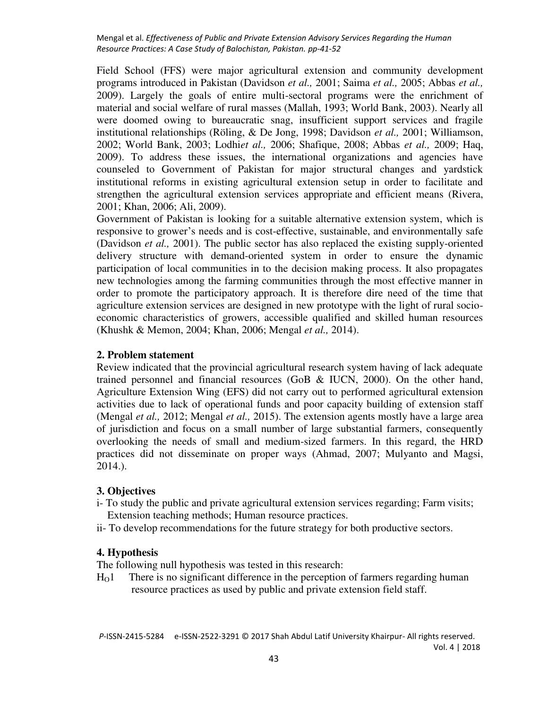Field School (FFS) were major agricultural extension and community development programs introduced in Pakistan (Davidson *et al.,* 2001; Saima *et al.,* 2005; Abbas *et al.,* 2009). Largely the goals of entire multi-sectoral programs were the enrichment of material and social welfare of rural masses (Mallah, 1993; World Bank, 2003). Nearly all were doomed owing to bureaucratic snag, insufficient support services and fragile institutional relationships (Röling, & De Jong, 1998; Davidson *et al.,* 2001; Williamson, 2002; World Bank, 2003; Lodhi*et al.,* 2006; Shafique, 2008; Abbas *et al.,* 2009; Haq, 2009). To address these issues, the international organizations and agencies have counseled to Government of Pakistan for major structural changes and yardstick institutional reforms in existing agricultural extension setup in order to facilitate and strengthen the agricultural extension services appropriate and efficient means (Rivera, 2001; Khan, 2006; Ali, 2009).

Government of Pakistan is looking for a suitable alternative extension system, which is responsive to grower's needs and is cost-effective, sustainable, and environmentally safe (Davidson *et al.,* 2001). The public sector has also replaced the existing supply-oriented delivery structure with demand-oriented system in order to ensure the dynamic participation of local communities in to the decision making process. It also propagates new technologies among the farming communities through the most effective manner in order to promote the participatory approach. It is therefore dire need of the time that agriculture extension services are designed in new prototype with the light of rural socioeconomic characteristics of growers, accessible qualified and skilled human resources (Khushk & Memon, 2004; Khan, 2006; Mengal *et al.,* 2014).

#### **2. Problem statement**

Review indicated that the provincial agricultural research system having of lack adequate trained personnel and financial resources (GoB & IUCN, 2000). On the other hand, Agriculture Extension Wing (EFS) did not carry out to performed agricultural extension activities due to lack of operational funds and poor capacity building of extension staff (Mengal *et al.,* 2012; Mengal *et al.,* 2015). The extension agents mostly have a large area of jurisdiction and focus on a small number of large substantial farmers, consequently overlooking the needs of small and medium-sized farmers. In this regard, the HRD practices did not disseminate on proper ways (Ahmad, 2007; Mulyanto and Magsi, 2014.).

#### **3. Objectives**

- i- To study the public and private agricultural extension services regarding; Farm visits; Extension teaching methods; Human resource practices.
- ii- To develop recommendations for the future strategy for both productive sectors.

#### **4. Hypothesis**

The following null hypothesis was tested in this research:

HO1 There is no significant difference in the perception of farmers regarding human resource practices as used by public and private extension field staff.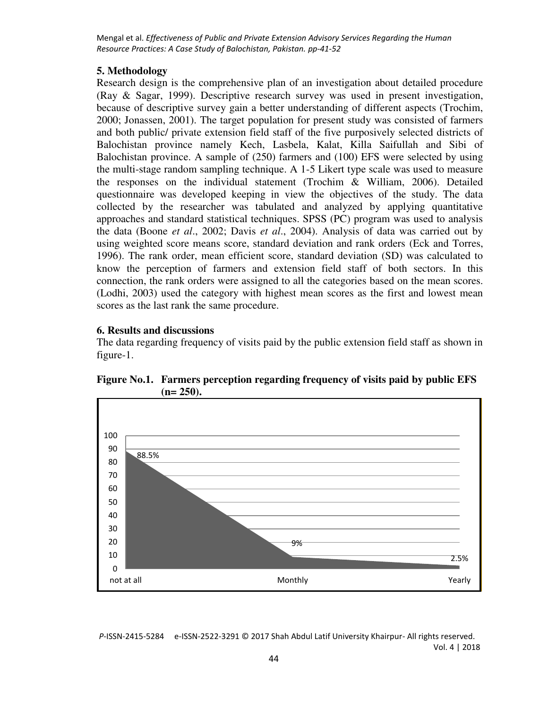#### **5. Methodology**

Research design is the comprehensive plan of an investigation about detailed procedure (Ray & Sagar, 1999). Descriptive research survey was used in present investigation, because of descriptive survey gain a better understanding of different aspects (Trochim, 2000; Jonassen, 2001). The target population for present study was consisted of farmers and both public/ private extension field staff of the five purposively selected districts of Balochistan province namely Kech, Lasbela, Kalat, Killa Saifullah and Sibi of Balochistan province. A sample of (250) farmers and (100) EFS were selected by using the multi-stage random sampling technique. A 1-5 Likert type scale was used to measure the responses on the individual statement (Trochim & William, 2006). Detailed questionnaire was developed keeping in view the objectives of the study. The data collected by the researcher was tabulated and analyzed by applying quantitative approaches and standard statistical techniques. SPSS (PC) program was used to analysis the data (Boone *et al*., 2002; Davis *et al*., 2004). Analysis of data was carried out by using weighted score means score, standard deviation and rank orders (Eck and Torres, 1996). The rank order, mean efficient score, standard deviation (SD) was calculated to know the perception of farmers and extension field staff of both sectors. In this connection, the rank orders were assigned to all the categories based on the mean scores. (Lodhi, 2003) used the category with highest mean scores as the first and lowest mean scores as the last rank the same procedure.

### **6. Results and discussions**

The data regarding frequency of visits paid by the public extension field staff as shown in figure-1.



**Figure No.1. Farmers perception regarding frequency of visits paid by public EFS (n= 250).**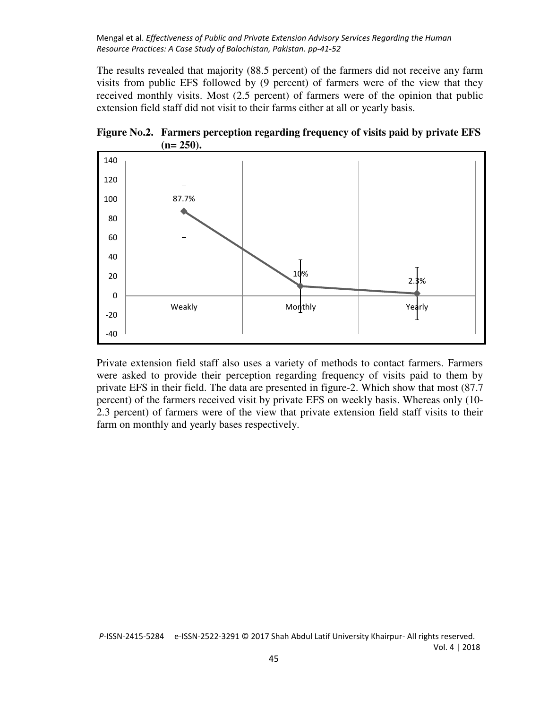The results revealed that majority (88.5 percent) of the farmers did not receive any farm visits from public EFS followed by (9 percent) of farmers were of the view that they received monthly visits. Most (2.5 percent) of farmers were of the opinion that public extension field staff did not visit to their farms either at all or yearly basis.





Private extension field staff also uses a variety of methods to contact farmers. Farmers were asked to provide their perception regarding frequency of visits paid to them by private EFS in their field. The data are presented in figure-2. Which show that most (87.7 percent) of the farmers received visit by private EFS on weekly basis. Whereas only (10- 2.3 percent) of farmers were of the view that private extension field staff visits to their farm on monthly and yearly bases respectively.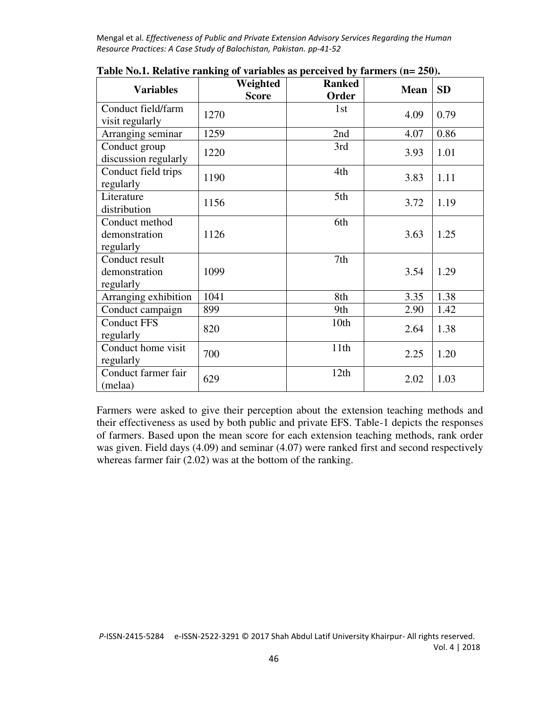| <b>Variables</b>                             | Weighted<br><b>Score</b> | <b>Ranked</b><br>Order | <b>Mean</b> | <b>SD</b> |
|----------------------------------------------|--------------------------|------------------------|-------------|-----------|
| Conduct field/farm<br>visit regularly        | 1270                     | 1st                    | 4.09        | 0.79      |
| Arranging seminar                            | 1259                     | 2nd                    | 4.07        | 0.86      |
| Conduct group<br>discussion regularly        | 1220                     | 3rd                    | 3.93        | 1.01      |
| Conduct field trips<br>regularly             | 1190                     | 4th                    | 3.83        | 1.11      |
| Literature<br>distribution                   | 1156                     | 5th                    | 3.72        | 1.19      |
| Conduct method<br>demonstration<br>regularly | 1126                     | 6th                    | 3.63        | 1.25      |
| Conduct result<br>demonstration<br>regularly | 1099                     | 7th                    | 3.54        | 1.29      |
| Arranging exhibition                         | 1041                     | 8th                    | 3.35        | 1.38      |
| Conduct campaign                             | 899                      | 9th                    | 2.90        | 1.42      |
| <b>Conduct FFS</b><br>regularly              | 820                      | 10th                   | 2.64        | 1.38      |
| Conduct home visit<br>regularly              | 700                      | 11th                   | 2.25        | 1.20      |
| Conduct farmer fair<br>(melaa)               | 629                      | 12th                   | 2.02        | 1.03      |

**Table No.1. Relative ranking of variables as perceived by farmers (n= 250).** 

Farmers were asked to give their perception about the extension teaching methods and their effectiveness as used by both public and private EFS. Table-1 depicts the responses of farmers. Based upon the mean score for each extension teaching methods, rank order was given. Field days (4.09) and seminar (4.07) were ranked first and second respectively whereas farmer fair (2.02) was at the bottom of the ranking.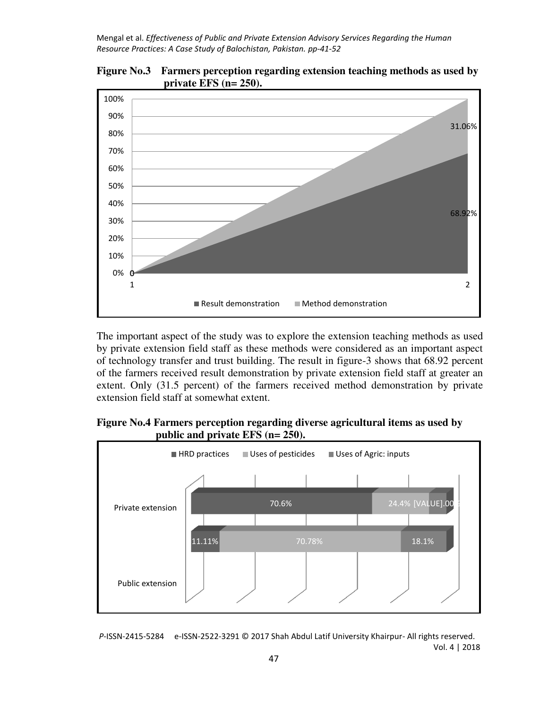



The important aspect of the study was to explore the extension teaching methods as used by private extension field staff as these methods were considered as an important aspect of technology transfer and trust building. The result in figure-3 shows that 68.92 percent of the farmers received result demonstration by private extension field staff at greater an extent. Only (31.5 percent) of the farmers received method demonstration by private extension field staff at somewhat extent.

### **Figure No.4 Farmers perception regarding diverse agricultural items as used by public and private EFS (n= 250).**

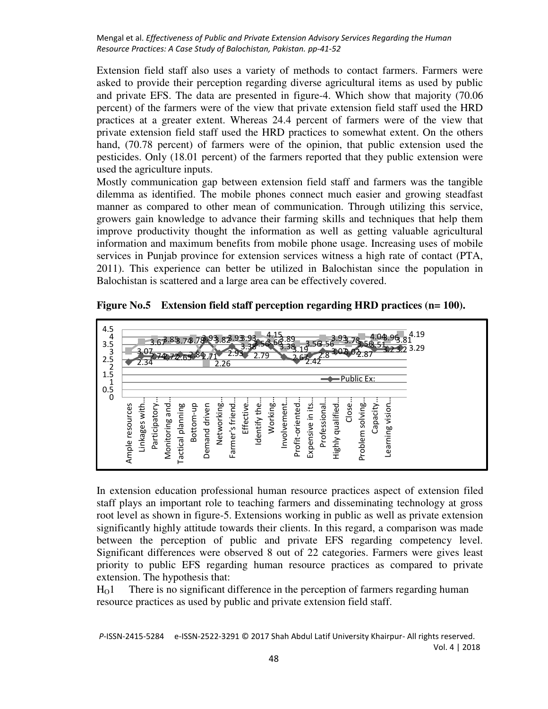Extension field staff also uses a variety of methods to contact farmers. Farmers were asked to provide their perception regarding diverse agricultural items as used by public and private EFS. The data are presented in figure-4. Which show that majority (70.06 percent) of the farmers were of the view that private extension field staff used the HRD practices at a greater extent. Whereas 24.4 percent of farmers were of the view that private extension field staff used the HRD practices to somewhat extent. On the others hand, (70.78 percent) of farmers were of the opinion, that public extension used the pesticides. Only (18.01 percent) of the farmers reported that they public extension were used the agriculture inputs.

Mostly communication gap between extension field staff and farmers was the tangible dilemma as identified. The mobile phones connect much easier and growing steadfast manner as compared to other mean of communication. Through utilizing this service, growers gain knowledge to advance their farming skills and techniques that help them improve productivity thought the information as well as getting valuable agricultural information and maximum benefits from mobile phone usage. Increasing uses of mobile services in Punjab province for extension services witness a high rate of contact (PTA, 2011). This experience can better be utilized in Balochistan since the population in Balochistan is scattered and a large area can be effectively covered.

**Figure No.5 Extension field staff perception regarding HRD practices (n= 100).**



In extension education professional human resource practices aspect of extension filed staff plays an important role to teaching farmers and disseminating technology at gross root level as shown in figure-5. Extensions working in public as well as private extension significantly highly attitude towards their clients. In this regard, a comparison was made between the perception of public and private EFS regarding competency level. Significant differences were observed 8 out of 22 categories. Farmers were gives least priority to public EFS regarding human resource practices as compared to private extension. The hypothesis that:

 $H<sub>0</sub>1$  There is no significant difference in the perception of farmers regarding human resource practices as used by public and private extension field staff.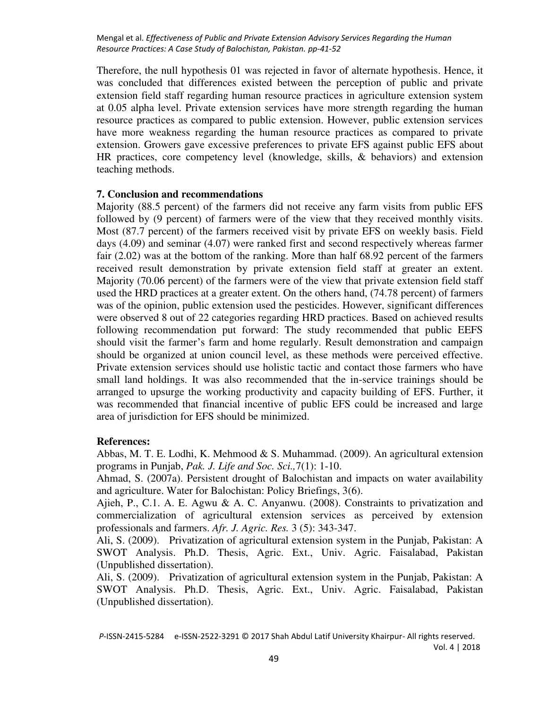Therefore, the null hypothesis 01 was rejected in favor of alternate hypothesis. Hence, it was concluded that differences existed between the perception of public and private extension field staff regarding human resource practices in agriculture extension system at 0.05 alpha level. Private extension services have more strength regarding the human resource practices as compared to public extension. However, public extension services have more weakness regarding the human resource practices as compared to private extension. Growers gave excessive preferences to private EFS against public EFS about HR practices, core competency level (knowledge, skills, & behaviors) and extension teaching methods.

#### **7. Conclusion and recommendations**

Majority (88.5 percent) of the farmers did not receive any farm visits from public EFS followed by (9 percent) of farmers were of the view that they received monthly visits. Most (87.7 percent) of the farmers received visit by private EFS on weekly basis. Field days (4.09) and seminar (4.07) were ranked first and second respectively whereas farmer fair (2.02) was at the bottom of the ranking. More than half 68.92 percent of the farmers received result demonstration by private extension field staff at greater an extent. Majority (70.06 percent) of the farmers were of the view that private extension field staff used the HRD practices at a greater extent. On the others hand, (74.78 percent) of farmers was of the opinion, public extension used the pesticides. However, significant differences were observed 8 out of 22 categories regarding HRD practices. Based on achieved results following recommendation put forward: The study recommended that public EEFS should visit the farmer's farm and home regularly. Result demonstration and campaign should be organized at union council level, as these methods were perceived effective. Private extension services should use holistic tactic and contact those farmers who have small land holdings. It was also recommended that the in-service trainings should be arranged to upsurge the working productivity and capacity building of EFS. Further, it was recommended that financial incentive of public EFS could be increased and large area of jurisdiction for EFS should be minimized.

#### **References:**

Abbas, M. T. E. Lodhi, K. Mehmood  $& S$ . Muhammad. (2009). An agricultural extension programs in Punjab, *Pak. J. Life and Soc. Sci.,*7(1): 1-10.

Ahmad, S. (2007a). Persistent drought of Balochistan and impacts on water availability and agriculture. Water for Balochistan: Policy Briefings, 3(6).

Ajieh, P., C.1. A. E. Agwu & A. C. Anyanwu. (2008). Constraints to privatization and commercialization of agricultural extension services as perceived by extension professionals and farmers. *Afr. J. Agric. Res.* 3 (5): 343-347.

Ali, S. (2009). Privatization of agricultural extension system in the Punjab, Pakistan: A SWOT Analysis. Ph.D. Thesis, Agric. Ext., Univ. Agric. Faisalabad, Pakistan (Unpublished dissertation).

Ali, S. (2009). Privatization of agricultural extension system in the Punjab, Pakistan: A SWOT Analysis. Ph.D. Thesis, Agric. Ext., Univ. Agric. Faisalabad, Pakistan (Unpublished dissertation).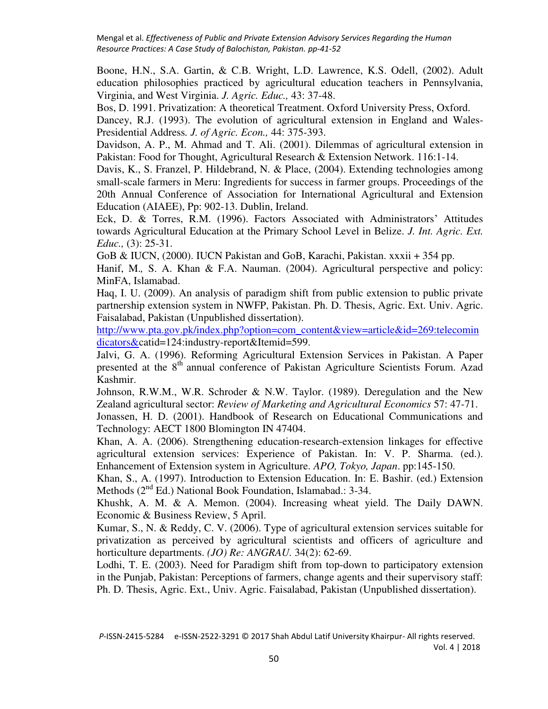Boone, H.N., S.A. Gartin, & C.B. Wright, L.D. Lawrence, K.S. Odell, (2002). Adult education philosophies practiced by agricultural education teachers in Pennsylvania, Virginia, and West Virginia. *J. Agric. Educ.,* 43: 37-48.

Bos, D. 1991. Privatization: A theoretical Treatment. Oxford University Press, Oxford.

Dancey, R.J. (1993). The evolution of agricultural extension in England and Wales-Presidential Address*. J. of Agric. Econ.,* 44: 375-393.

Davidson, A. P., M. Ahmad and T. Ali. (2001). Dilemmas of agricultural extension in Pakistan: Food for Thought, Agricultural Research & Extension Network. 116:1-14.

Davis, K., S. Franzel, P. Hildebrand, N. & Place, (2004). Extending technologies among small-scale farmers in Meru: Ingredients for success in farmer groups. Proceedings of the 20th Annual Conference of Association for International Agricultural and Extension Education (AIAEE), Pp: 902-13. Dublin, Ireland.

Eck, D. & Torres, R.M. (1996). Factors Associated with Administrators' Attitudes towards Agricultural Education at the Primary School Level in Belize. *J. Int. Agric. Ext. Educ.,* (3): 25-31.

GoB & IUCN, (2000). IUCN Pakistan and GoB, Karachi, Pakistan. xxxii + 354 pp.

Hanif, M.*,* S. A. Khan & F.A. Nauman. (2004). Agricultural perspective and policy: MinFA, Islamabad.

Haq, I. U. (2009). An analysis of paradigm shift from public extension to public private partnership extension system in NWFP, Pakistan. Ph. D. Thesis, Agric. Ext. Univ. Agric. Faisalabad, Pakistan (Unpublished dissertation).

[http://www.pta.gov.pk/index.php?option=com\\_content&view=article&id=269:telecomin](http://www.pta.gov.pk/index.php?option=com_content&view=article&id=269:telecomindicators&) [dicators&c](http://www.pta.gov.pk/index.php?option=com_content&view=article&id=269:telecomindicators&)atid=124:industry-report&Itemid=599.

Jalvi, G. A. (1996). Reforming Agricultural Extension Services in Pakistan. A Paper presented at the 8<sup>th</sup> annual conference of Pakistan Agriculture Scientists Forum. Azad Kashmir.

Johnson, R.W.M., W.R. Schroder & N.W. Taylor. (1989). Deregulation and the New Zealand agricultural sector: *Review of Marketing and Agricultural Economics* 57: 47-71.

Jonassen, H. D. (2001). Handbook of Research on Educational Communications and Technology: AECT 1800 Blomington IN 47404.

Khan, A. A. (2006). Strengthening education-research-extension linkages for effective agricultural extension services: Experience of Pakistan. In: V. P. Sharma. (ed.). Enhancement of Extension system in Agriculture. *APO, Tokyo, Japan*. pp:145-150.

Khan, S., A. (1997). Introduction to Extension Education. In: E. Bashir. (ed.) Extension Methods  $(2^{nd}$  Ed.) National Book Foundation, Islamabad.: 3-34.

Khushk, A. M. & A. Memon. (2004). Increasing wheat yield. The Daily DAWN. Economic & Business Review, 5 April.

Kumar, S., N. & Reddy, C. V. (2006). Type of agricultural extension services suitable for privatization as perceived by agricultural scientists and officers of agriculture and horticulture departments. *(JO) Re: ANGRAU.* 34(2): 62-69.

Lodhi, T. E. (2003). Need for Paradigm shift from top-down to participatory extension in the Punjab, Pakistan: Perceptions of farmers, change agents and their supervisory staff: Ph. D. Thesis, Agric. Ext., Univ. Agric. Faisalabad, Pakistan (Unpublished dissertation).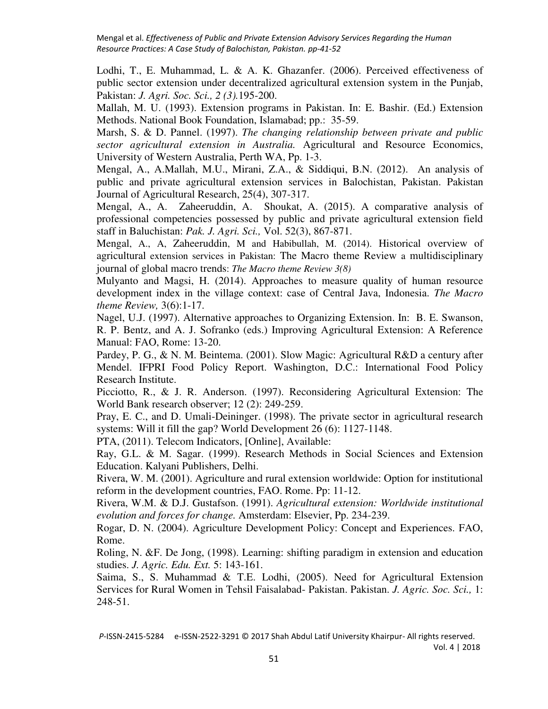Lodhi, T., E. Muhammad, L. & A. K. Ghazanfer. (2006). Perceived effectiveness of public sector extension under decentralized agricultural extension system in the Punjab, Pakistan: *J. Agri. Soc. Sci., 2 (3).*195-200.

Mallah, M. U. (1993). Extension programs in Pakistan. In: E. Bashir. (Ed.) Extension Methods. National Book Foundation, Islamabad; pp.: 35-59.

Marsh, S. & D. Pannel. (1997). *The changing relationship between private and public sector agricultural extension in Australia.* Agricultural and Resource Economics, University of Western Australia, Perth WA, Pp. 1-3.

Mengal, A., A.Mallah, M.U., Mirani, Z.A., & Siddiqui, B.N. (2012). An analysis of public and private agricultural extension services in Balochistan, Pakistan. Pakistan Journal of Agricultural Research, 25(4), 307-317.

Mengal, A., A. Zaheeruddin, A. Shoukat, A. (2015). A comparative analysis of professional competencies possessed by public and private agricultural extension field staff in Baluchistan: *Pak. J. Agri. Sci.,* Vol. 52(3), 867-871.

Mengal, A., A, Zaheeruddin, M and Habibullah, M. (2014). Historical overview of agricultural extension services in Pakistan: The Macro theme Review a multidisciplinary journal of global macro trends: *The Macro theme Review 3(8)*

Mulyanto and Magsi, H. (2014). Approaches to measure quality of human resource development index in the village context: case of Central Java, Indonesia. *The Macro theme Review,* 3(6):1-17.

Nagel, U.J. (1997). Alternative approaches to Organizing Extension. In: B. E. Swanson, R. P. Bentz, and A. J. Sofranko (eds.) Improving Agricultural Extension: A Reference Manual: FAO, Rome: 13-20.

Pardey, P. G., & N. M. Beintema. (2001). Slow Magic: Agricultural R&D a century after Mendel. IFPRI Food Policy Report. Washington, D.C.: International Food Policy Research Institute.

Picciotto, R., & J. R. Anderson. (1997). Reconsidering Agricultural Extension: The World Bank research observer; 12 (2): 249-259.

Pray, E. C., and D. Umali-Deininger. (1998). The private sector in agricultural research systems: Will it fill the gap? World Development 26 (6): 1127-1148.

PTA, (2011). Telecom Indicators, [Online], Available:

Ray, G.L. & M. Sagar. (1999). Research Methods in Social Sciences and Extension Education. Kalyani Publishers, Delhi.

Rivera, W. M. (2001). Agriculture and rural extension worldwide: Option for institutional reform in the development countries, FAO. Rome. Pp: 11-12.

Rivera, W.M. & D.J. Gustafson. (1991). *Agricultural extension: Worldwide institutional evolution and forces for change.* Amsterdam: Elsevier, Pp. 234-239.

Rogar, D. N. (2004). Agriculture Development Policy: Concept and Experiences. FAO, Rome.

Roling, N. &F. De Jong, (1998). Learning: shifting paradigm in extension and education studies. *J. Agric. Edu. Ext.* 5: 143-161.

Saima, S., S. Muhammad & T.E. Lodhi, (2005). Need for Agricultural Extension Services for Rural Women in Tehsil Faisalabad- Pakistan. Pakistan. *J. Agric. Soc. Sci.,* 1: 248-51.